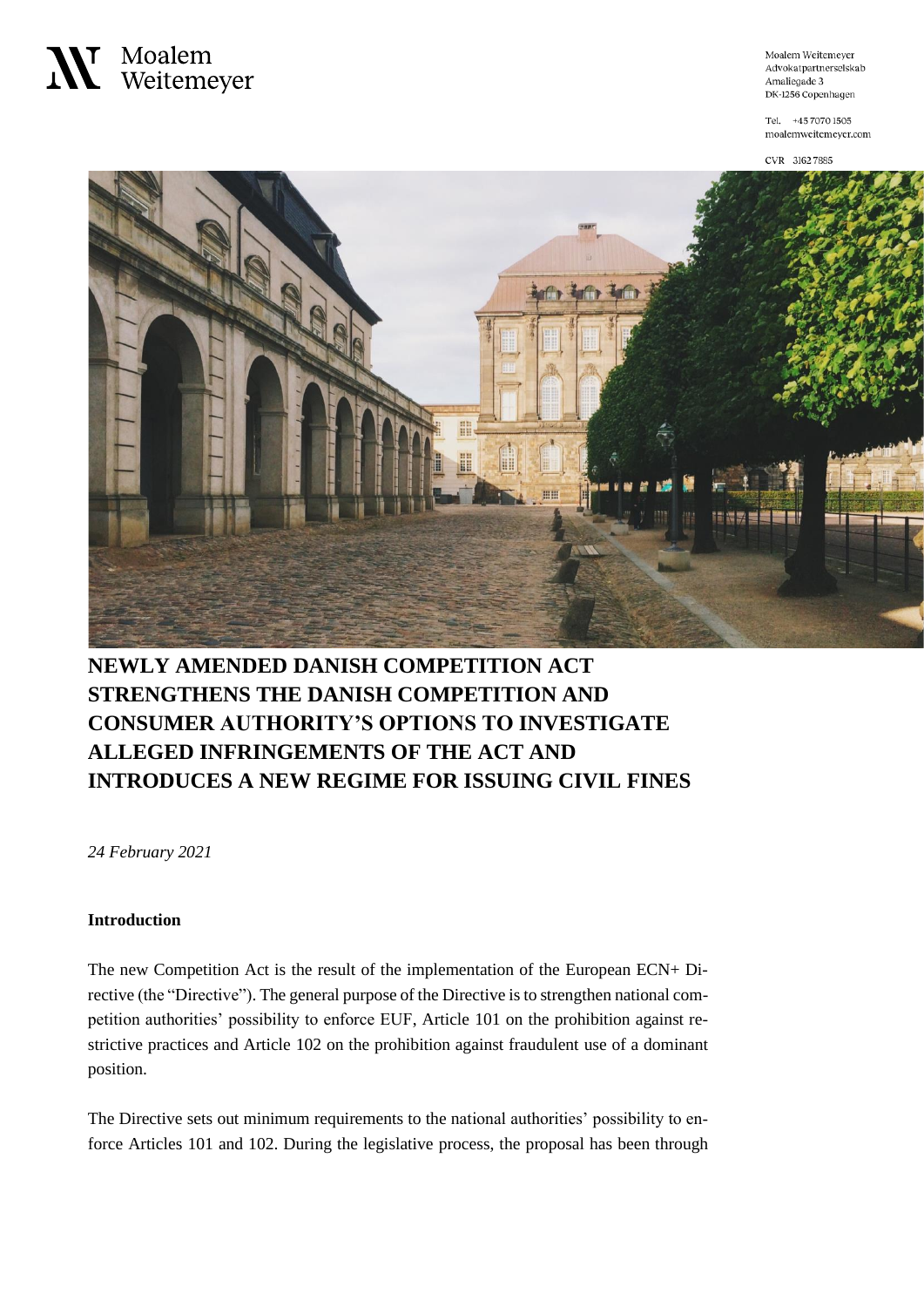

Moalem Weitemeyer Advokatpartnerselskab Amaliegade 3 DK-1256 Copenhagen

Tel. +45 7070 1505 moalemweitemeyer.com

CVR 3162 7885



### **NEWLY AMENDED DANISH COMPETITION ACT STRENGTHENS THE DANISH COMPETITION AND CONSUMER AUTHORITY'S OPTIONS TO INVESTIGATE ALLEGED INFRINGEMENTS OF THE ACT AND INTRODUCES A NEW REGIME FOR ISSUING CIVIL FINES**

*24 February 2021*

#### **Introduction**

The new Competition Act is the result of the implementation of the European ECN+ Directive (the "Directive"). The general purpose of the Directive is to strengthen national competition authorities' possibility to enforce EUF, Article 101 on the prohibition against restrictive practices and Article 102 on the prohibition against fraudulent use of a dominant position.

The Directive sets out minimum requirements to the national authorities' possibility to enforce Articles 101 and 102. During the legislative process, the proposal has been through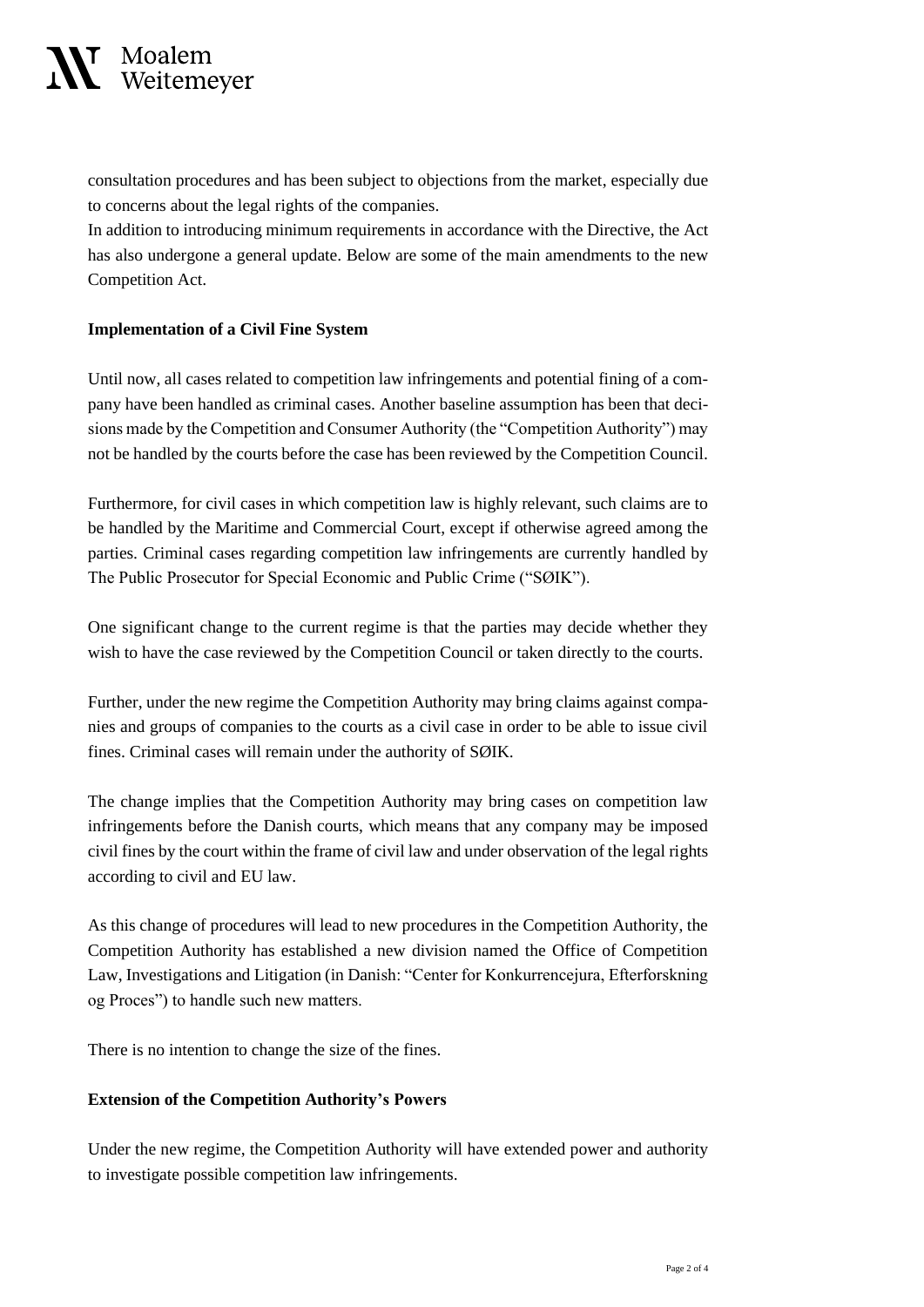# ¶ Moalem<br>▲ Weitemeyer

consultation procedures and has been subject to objections from the market, especially due to concerns about the legal rights of the companies.

In addition to introducing minimum requirements in accordance with the Directive, the Act has also undergone a general update. Below are some of the main amendments to the new Competition Act.

#### **Implementation of a Civil Fine System**

Until now, all cases related to competition law infringements and potential fining of a company have been handled as criminal cases. Another baseline assumption has been that decisions made by the Competition and Consumer Authority (the "Competition Authority") may not be handled by the courts before the case has been reviewed by the Competition Council.

Furthermore, for civil cases in which competition law is highly relevant, such claims are to be handled by the Maritime and Commercial Court, except if otherwise agreed among the parties. Criminal cases regarding competition law infringements are currently handled by The Public Prosecutor for Special Economic and Public Crime ("SØIK").

One significant change to the current regime is that the parties may decide whether they wish to have the case reviewed by the Competition Council or taken directly to the courts.

Further, under the new regime the Competition Authority may bring claims against companies and groups of companies to the courts as a civil case in order to be able to issue civil fines. Criminal cases will remain under the authority of SØIK.

The change implies that the Competition Authority may bring cases on competition law infringements before the Danish courts, which means that any company may be imposed civil fines by the court within the frame of civil law and under observation of the legal rights according to civil and EU law.

As this change of procedures will lead to new procedures in the Competition Authority, the Competition Authority has established a new division named the Office of Competition Law, Investigations and Litigation (in Danish: "Center for Konkurrencejura, Efterforskning og Proces") to handle such new matters.

There is no intention to change the size of the fines.

#### **Extension of the Competition Authority's Powers**

Under the new regime, the Competition Authority will have extended power and authority to investigate possible competition law infringements.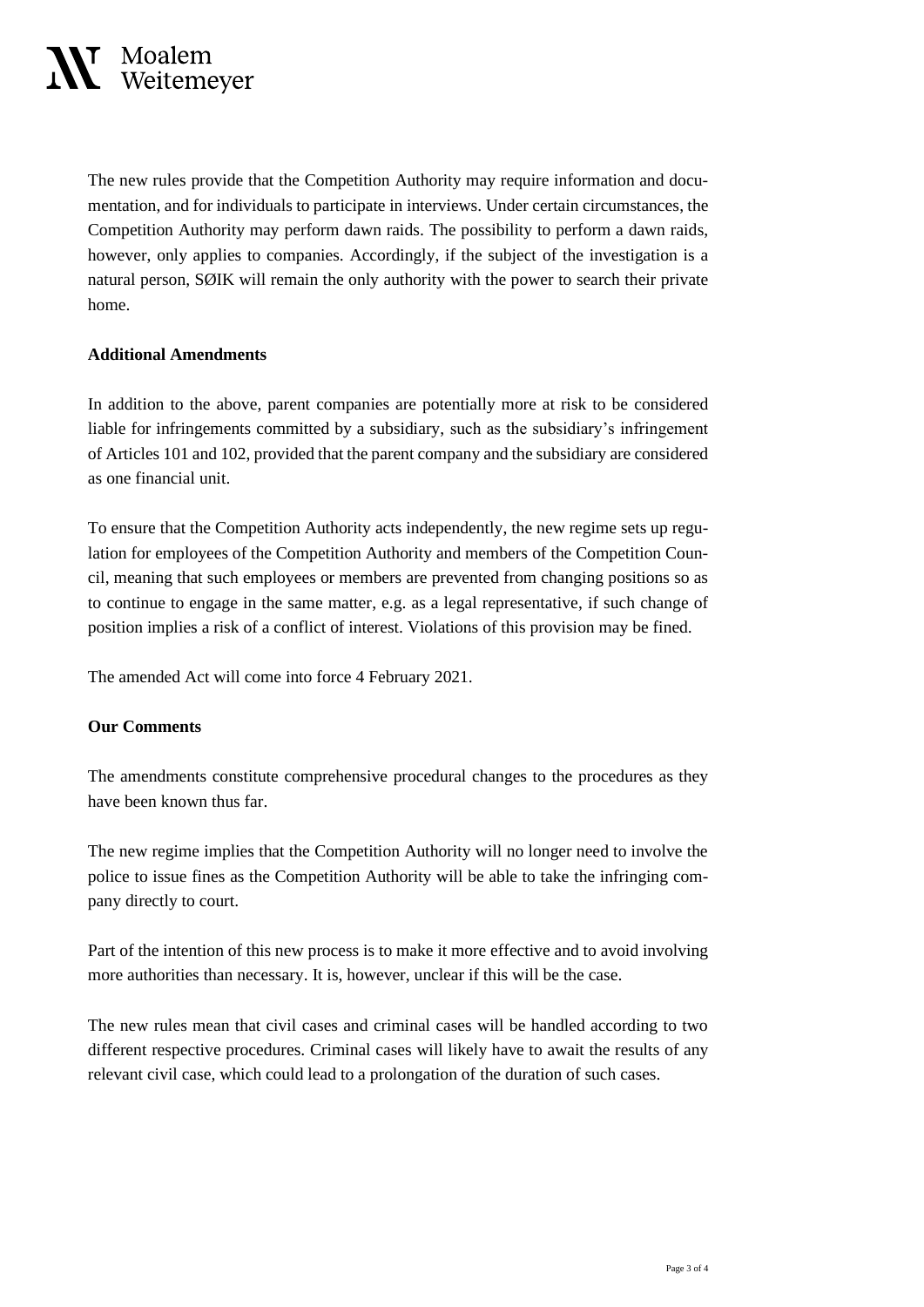## **⊺** Moalem<br>⊾ Weitemeyer

The new rules provide that the Competition Authority may require information and documentation, and for individuals to participate in interviews. Under certain circumstances, the Competition Authority may perform dawn raids. The possibility to perform a dawn raids, however, only applies to companies. Accordingly, if the subject of the investigation is a natural person, SØIK will remain the only authority with the power to search their private home.

#### **Additional Amendments**

In addition to the above, parent companies are potentially more at risk to be considered liable for infringements committed by a subsidiary, such as the subsidiary's infringement of Articles 101 and 102, provided that the parent company and the subsidiary are considered as one financial unit.

To ensure that the Competition Authority acts independently, the new regime sets up regulation for employees of the Competition Authority and members of the Competition Council, meaning that such employees or members are prevented from changing positions so as to continue to engage in the same matter, e.g. as a legal representative, if such change of position implies a risk of a conflict of interest. Violations of this provision may be fined.

The amended Act will come into force 4 February 2021.

#### **Our Comments**

The amendments constitute comprehensive procedural changes to the procedures as they have been known thus far.

The new regime implies that the Competition Authority will no longer need to involve the police to issue fines as the Competition Authority will be able to take the infringing company directly to court.

Part of the intention of this new process is to make it more effective and to avoid involving more authorities than necessary. It is, however, unclear if this will be the case.

The new rules mean that civil cases and criminal cases will be handled according to two different respective procedures. Criminal cases will likely have to await the results of any relevant civil case, which could lead to a prolongation of the duration of such cases.